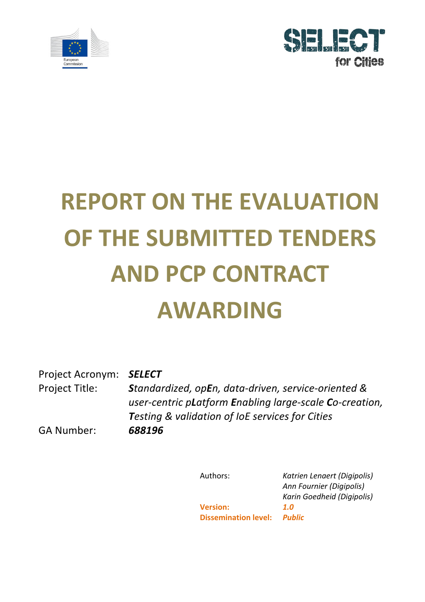



# **REPORT ON THE EVALUATION OF THE SUBMITTED TENDERS AND PCP CONTRACT AWARDING**

Project Acronym: *SELECT* Project Title: *Standardized, opEn, data-driven, service-oriented & user-centric pLatform Enabling large-scale Co-creation,* **Testing & validation of loE services for Cities** 

GA Number: *688196*

Authors: **Katrien Lenaert (Digipolis)** *Ann Fournier (Digipolis) Karin Goedheid (Digipolis)* **Version:** *1.0* **Dissemination level:** *Public*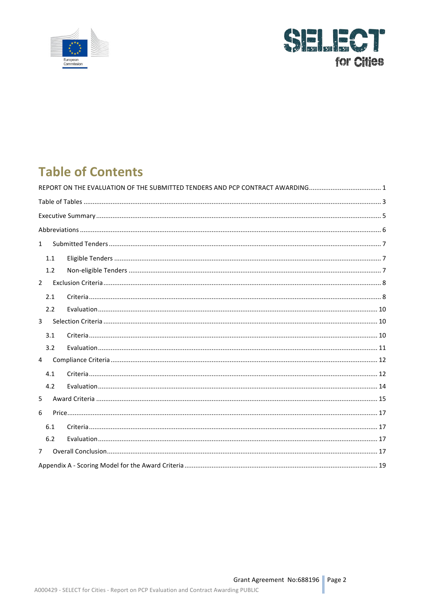



# **Table of Contents**

| $\mathbf{1}$   |  |
|----------------|--|
| 1.1            |  |
| 1.2            |  |
| $\overline{2}$ |  |
| 2.1            |  |
| 2.2            |  |
| $\overline{3}$ |  |
| 3.1            |  |
| 3.2            |  |
| 4              |  |
| 4.1            |  |
| 4.2            |  |
| 5              |  |
| 6              |  |
| 6.1            |  |
| 6.2            |  |
| $7^{\circ}$    |  |
|                |  |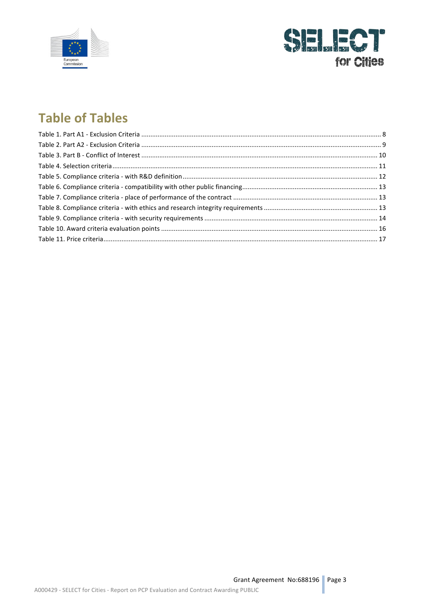



# **Table of Tables**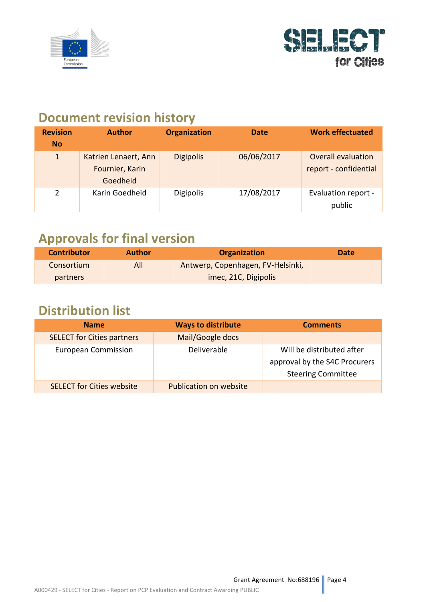



# **Document revision history**

| <b>Revision</b><br><b>No</b> | <b>Author</b>                                       | <b>Organization</b> | <b>Date</b> | <b>Work effectuated</b>                            |
|------------------------------|-----------------------------------------------------|---------------------|-------------|----------------------------------------------------|
| $\mathbf{1}$                 | Katrien Lenaert, Ann<br>Fournier, Karin<br>Goedheid | <b>Digipolis</b>    | 06/06/2017  | <b>Overall evaluation</b><br>report - confidential |
| $\overline{2}$               | Karin Goedheid                                      | <b>Digipolis</b>    | 17/08/2017  | <b>Evaluation report -</b><br>public               |

# **Approvals for final version**

| <b>Contributor</b> | <b>Author</b> | <b>Organization</b>               | <b>Date</b> |
|--------------------|---------------|-----------------------------------|-------------|
| Consortium         | All           | Antwerp, Copenhagen, FV-Helsinki, |             |
| <b>partners</b>    |               | imec, 21C, Digipolis              |             |

# **Distribution list**

| <b>Name</b>                       | <b>Ways to distribute</b>     | <b>Comments</b>                                                                         |
|-----------------------------------|-------------------------------|-----------------------------------------------------------------------------------------|
| <b>SELECT for Cities partners</b> | Mail/Google docs              |                                                                                         |
| <b>European Commission</b>        | Deliverable                   | Will be distributed after<br>approval by the S4C Procurers<br><b>Steering Committee</b> |
| <b>SELECT for Cities website</b>  | <b>Publication on website</b> |                                                                                         |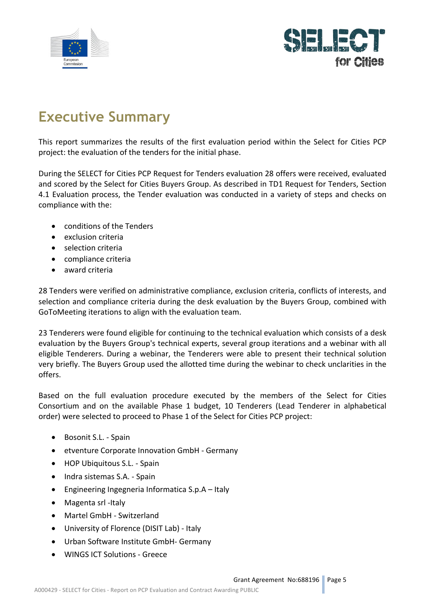



# **Executive Summary**

This report summarizes the results of the first evaluation period within the Select for Cities PCP project: the evaluation of the tenders for the initial phase.

During the SELECT for Cities PCP Request for Tenders evaluation 28 offers were received, evaluated and scored by the Select for Cities Buyers Group. As described in TD1 Request for Tenders, Section 4.1 Evaluation process, the Tender evaluation was conducted in a variety of steps and checks on compliance with the:

- conditions of the Tenders
- exclusion criteria
- selection criteria
- compliance criteria
- award criteria

28 Tenders were verified on administrative compliance, exclusion criteria, conflicts of interests, and selection and compliance criteria during the desk evaluation by the Buyers Group, combined with GoToMeeting iterations to align with the evaluation team.

23 Tenderers were found eligible for continuing to the technical evaluation which consists of a desk evaluation by the Buyers Group's technical experts, several group iterations and a webinar with all eligible Tenderers. During a webinar, the Tenderers were able to present their technical solution very briefly. The Buyers Group used the allotted time during the webinar to check unclarities in the offers.

Based on the full evaluation procedure executed by the members of the Select for Cities Consortium and on the available Phase 1 budget, 10 Tenderers (Lead Tenderer in alphabetical order) were selected to proceed to Phase 1 of the Select for Cities PCP project:

- Bosonit S.L. Spain
- etventure Corporate Innovation GmbH Germany
- HOP Ubiquitous S.L. Spain
- Indra sistemas S.A. Spain
- Engineering Ingegneria Informatica  $S.p.A Italy$
- Magenta srl -Italy
- Martel GmbH Switzerland
- University of Florence (DISIT Lab) Italy
- Urban Software Institute GmbH- Germany
- WINGS ICT Solutions Greece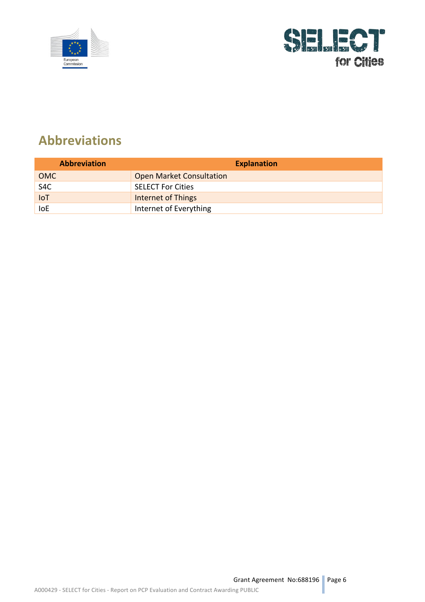



# **Abbreviations**

| <b>Abbreviation</b> | <b>Explanation</b>              |
|---------------------|---------------------------------|
| <b>OMC</b>          | <b>Open Market Consultation</b> |
| S4C                 | <b>SELECT For Cities</b>        |
| <b>IoT</b>          | <b>Internet of Things</b>       |
| loE                 | Internet of Everything          |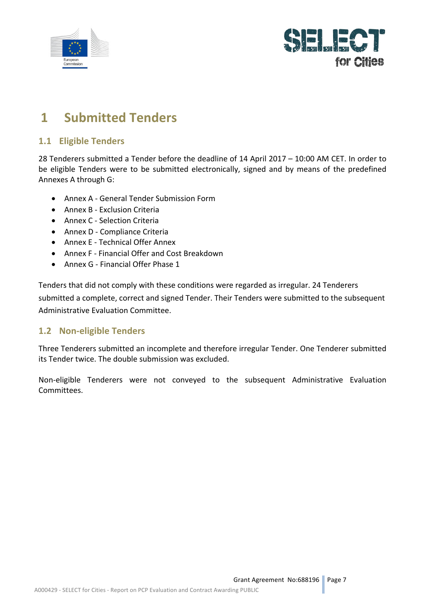



# **1 Submitted Tenders**

### **1.1 Eligible Tenders**

28 Tenderers submitted a Tender before the deadline of 14 April 2017 – 10:00 AM CET. In order to be eligible Tenders were to be submitted electronically, signed and by means of the predefined Annexes A through G:

- Annex A General Tender Submission Form
- Annex B Exclusion Criteria
- Annex C Selection Criteria
- Annex D Compliance Criteria
- Annex E Technical Offer Annex
- Annex F Financial Offer and Cost Breakdown
- Annex G Financial Offer Phase 1

Tenders that did not comply with these conditions were regarded as irregular. 24 Tenderers submitted a complete, correct and signed Tender. Their Tenders were submitted to the subsequent Administrative Evaluation Committee.

### **1.2 Non-eligible Tenders**

Three Tenderers submitted an incomplete and therefore irregular Tender. One Tenderer submitted its Tender twice. The double submission was excluded.

Non-eligible Tenderers were not conveyed to the subsequent Administrative Evaluation Committees.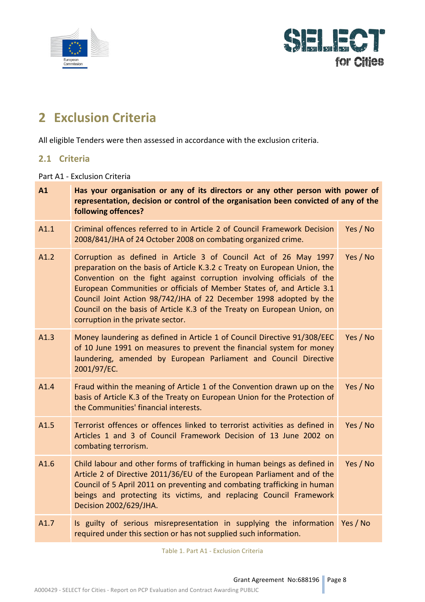



# **2 Exclusion Criteria**

All eligible Tenders were then assessed in accordance with the exclusion criteria.

### **2.1 Criteria**

Part A1 - Exclusion Criteria

| A1   | Has your organisation or any of its directors or any other person with power of<br>representation, decision or control of the organisation been convicted of any of the<br>following offences?                                                                                                                                                                                                                                                                                         |          |
|------|----------------------------------------------------------------------------------------------------------------------------------------------------------------------------------------------------------------------------------------------------------------------------------------------------------------------------------------------------------------------------------------------------------------------------------------------------------------------------------------|----------|
| A1.1 | Criminal offences referred to in Article 2 of Council Framework Decision<br>2008/841/JHA of 24 October 2008 on combating organized crime.                                                                                                                                                                                                                                                                                                                                              | Yes / No |
| A1.2 | Corruption as defined in Article 3 of Council Act of 26 May 1997<br>preparation on the basis of Article K.3.2 c Treaty on European Union, the<br>Convention on the fight against corruption involving officials of the<br>European Communities or officials of Member States of, and Article 3.1<br>Council Joint Action 98/742/JHA of 22 December 1998 adopted by the<br>Council on the basis of Article K.3 of the Treaty on European Union, on<br>corruption in the private sector. | Yes / No |
| A1.3 | Money laundering as defined in Article 1 of Council Directive 91/308/EEC<br>of 10 June 1991 on measures to prevent the financial system for money<br>laundering, amended by European Parliament and Council Directive<br>2001/97/EC.                                                                                                                                                                                                                                                   | Yes / No |
| A1.4 | Fraud within the meaning of Article 1 of the Convention drawn up on the<br>basis of Article K.3 of the Treaty on European Union for the Protection of<br>the Communities' financial interests.                                                                                                                                                                                                                                                                                         | Yes / No |
| A1.5 | Terrorist offences or offences linked to terrorist activities as defined in<br>Articles 1 and 3 of Council Framework Decision of 13 June 2002 on<br>combating terrorism.                                                                                                                                                                                                                                                                                                               | Yes / No |
| A1.6 | Child labour and other forms of trafficking in human beings as defined in<br>Article 2 of Directive 2011/36/EU of the European Parliament and of the<br>Council of 5 April 2011 on preventing and combating trafficking in human<br>beings and protecting its victims, and replacing Council Framework<br>Decision 2002/629/JHA.                                                                                                                                                       | Yes / No |
| A1.7 | Is guilty of serious misrepresentation in supplying the information<br>required under this section or has not supplied such information.                                                                                                                                                                                                                                                                                                                                               | Yes / No |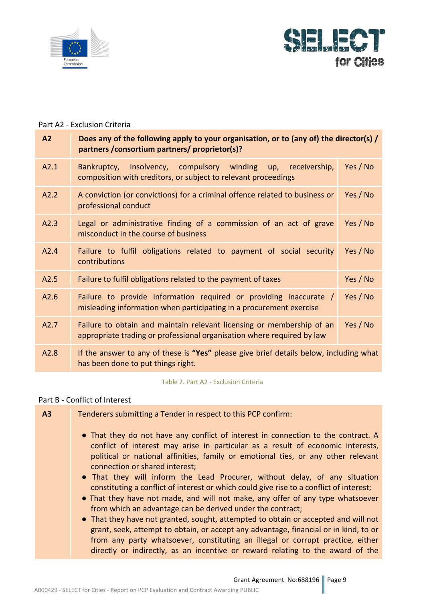



#### Part A2 - Exclusion Criteria

| A2   | Does any of the following apply to your organisation, or to (any of) the director(s) /<br>partners / consortium partners/ proprietor(s)?        |          |
|------|-------------------------------------------------------------------------------------------------------------------------------------------------|----------|
| A2.1 | Bankruptcy, insolvency, compulsory winding up, receivership,<br>composition with creditors, or subject to relevant proceedings                  | Yes / No |
| A2.2 | A conviction (or convictions) for a criminal offence related to business or<br>professional conduct                                             | Yes / No |
| A2.3 | Legal or administrative finding of a commission of an act of grave<br>misconduct in the course of business                                      | Yes / No |
| A2.4 | Failure to fulfil obligations related to payment of social security<br>contributions                                                            | Yes / No |
| A2.5 | Failure to fulfil obligations related to the payment of taxes                                                                                   | Yes / No |
| A2.6 | Failure to provide information required or providing inaccurate /<br>misleading information when participating in a procurement exercise        | Yes / No |
| A2.7 | Failure to obtain and maintain relevant licensing or membership of an<br>appropriate trading or professional organisation where required by law | Yes / No |
| A2.8 | If the answer to any of these is "Yes" please give brief details below, including what<br>has been done to put things right.                    |          |

Table 2. Part A2 - Exclusion Criteria

#### Part B - Conflict of Interest

| A3 | Tenderers submitting a Tender in respect to this PCP confirm:                                                                                                                                                                                             |
|----|-----------------------------------------------------------------------------------------------------------------------------------------------------------------------------------------------------------------------------------------------------------|
|    | • That they do not have any conflict of interest in connection to the contract. A<br>conflict of interest may arise in particular as a result of economic interests,<br>political or national affinities, family or emotional ties, or any other relevant |
|    | connection or shared interest;<br>• That they will inform the Lead Procurer, without delay, of any situation                                                                                                                                              |
|    | constituting a conflict of interest or which could give rise to a conflict of interest;                                                                                                                                                                   |
|    | • That they have not made, and will not make, any offer of any type whatsoever<br>from which an advantage can be derived under the contract;                                                                                                              |
|    | • That they have not granted, sought, attempted to obtain or accepted and will not                                                                                                                                                                        |
|    | grant, seek, attempt to obtain, or accept any advantage, financial or in kind, to or                                                                                                                                                                      |
|    | from any party whatsoever, constituting an illegal or corrupt practice, either<br>directly or indirectly, as an incentive or reward relating to the award of the                                                                                          |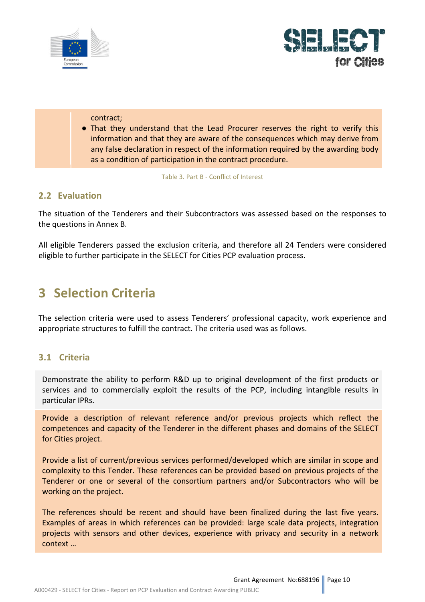



#### contract;

• That they understand that the Lead Procurer reserves the right to verify this information and that they are aware of the consequences which may derive from any false declaration in respect of the information required by the awarding body as a condition of participation in the contract procedure.

Table 3. Part B - Conflict of Interest

### **2.2 Evaluation**

The situation of the Tenderers and their Subcontractors was assessed based on the responses to the questions in Annex B.

All eligible Tenderers passed the exclusion criteria, and therefore all 24 Tenders were considered eligible to further participate in the SELECT for Cities PCP evaluation process.

### **3 Selection Criteria**

The selection criteria were used to assess Tenderers' professional capacity, work experience and appropriate structures to fulfill the contract. The criteria used was as follows.

### **3.1 Criteria**

Demonstrate the ability to perform R&D up to original development of the first products or services and to commercially exploit the results of the PCP, including intangible results in particular IPRs.

Provide a description of relevant reference and/or previous projects which reflect the competences and capacity of the Tenderer in the different phases and domains of the SELECT for Cities project.

Provide a list of current/previous services performed/developed which are similar in scope and complexity to this Tender. These references can be provided based on previous projects of the Tenderer or one or several of the consortium partners and/or Subcontractors who will be working on the project.

The references should be recent and should have been finalized during the last five years. Examples of areas in which references can be provided: large scale data projects, integration projects with sensors and other devices, experience with privacy and security in a network context ...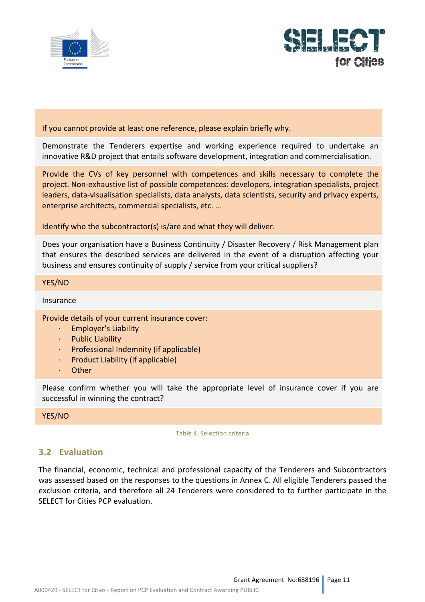



#### If you cannot provide at least one reference, please explain briefly why.

Demonstrate the Tenderers expertise and working experience required to undertake an innovative R&D project that entails software development, integration and commercialisation.

Provide the CVs of key personnel with competences and skills necessary to complete the project. Non-exhaustive list of possible competences: developers, integration specialists, project leaders, data-visualisation specialists, data analysts, data scientists, security and privacy experts, enterprise architects, commercial specialists, etc. ...

Identify who the subcontractor(s) is/are and what they will deliver.

Does your organisation have a Business Continuity / Disaster Recovery / Risk Management plan that ensures the described services are delivered in the event of a disruption affecting your business and ensures continuity of supply / service from your critical suppliers?

#### YES/NO

#### Insurance

#### Provide details of your current insurance cover:

- Employer's Liability
- · Public Liability
- Professional Indemnity (if applicable)
- Product Liability (if applicable)
- **Other**

Please confirm whether you will take the appropriate level of insurance cover if you are successful in winning the contract?

YES/NO

Table 4. Selection criteria

### **3.2 Evaluation**

The financial, economic, technical and professional capacity of the Tenderers and Subcontractors was assessed based on the responses to the questions in Annex C. All eligible Tenderers passed the exclusion criteria, and therefore all 24 Tenderers were considered to to further participate in the SELECT for Cities PCP evaluation.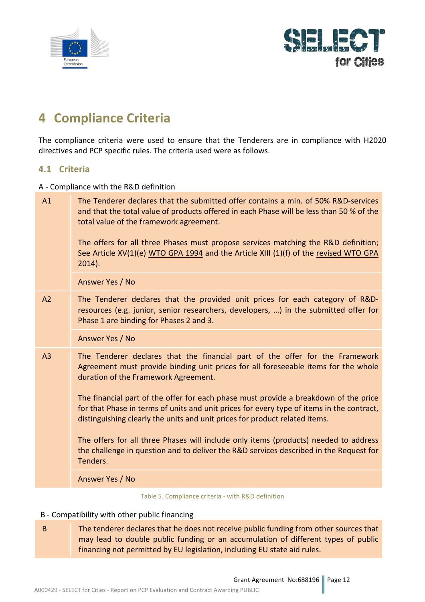



# **4 Compliance Criteria**

The compliance criteria were used to ensure that the Tenderers are in compliance with H2020 directives and PCP specific rules. The criteria used were as follows.

### **4.1 Criteria**

A - Compliance with the R&D definition

| A1             | The Tenderer declares that the submitted offer contains a min. of 50% R&D-services<br>and that the total value of products offered in each Phase will be less than 50 % of the<br>total value of the framework agreement.<br>The offers for all three Phases must propose services matching the R&D definition;<br>See Article XV(1)(e) WTO GPA 1994 and the Article XIII (1)(f) of the revised WTO GPA<br>$2014$ ). |
|----------------|----------------------------------------------------------------------------------------------------------------------------------------------------------------------------------------------------------------------------------------------------------------------------------------------------------------------------------------------------------------------------------------------------------------------|
|                | Answer Yes / No                                                                                                                                                                                                                                                                                                                                                                                                      |
| A <sub>2</sub> | The Tenderer declares that the provided unit prices for each category of R&D-<br>resources (e.g. junior, senior researchers, developers, ) in the submitted offer for<br>Phase 1 are binding for Phases 2 and 3.                                                                                                                                                                                                     |
|                | Answer Yes / No                                                                                                                                                                                                                                                                                                                                                                                                      |
| A <sub>3</sub> | The Tenderer declares that the financial part of the offer for the Framework<br>Agreement must provide binding unit prices for all foreseeable items for the whole<br>duration of the Framework Agreement.                                                                                                                                                                                                           |
|                | The financial part of the offer for each phase must provide a breakdown of the price<br>for that Phase in terms of units and unit prices for every type of items in the contract,<br>distinguishing clearly the units and unit prices for product related items.                                                                                                                                                     |
|                | The offers for all three Phases will include only items (products) needed to address<br>the challenge in question and to deliver the R&D services described in the Request for<br>Tenders.                                                                                                                                                                                                                           |
|                | Answer Yes / No                                                                                                                                                                                                                                                                                                                                                                                                      |
|                |                                                                                                                                                                                                                                                                                                                                                                                                                      |

Table 5. Compliance criteria - with R&D definition

#### B - Compatibility with other public financing

B The tenderer declares that he does not receive public funding from other sources that may lead to double public funding or an accumulation of different types of public financing not permitted by EU legislation, including EU state aid rules.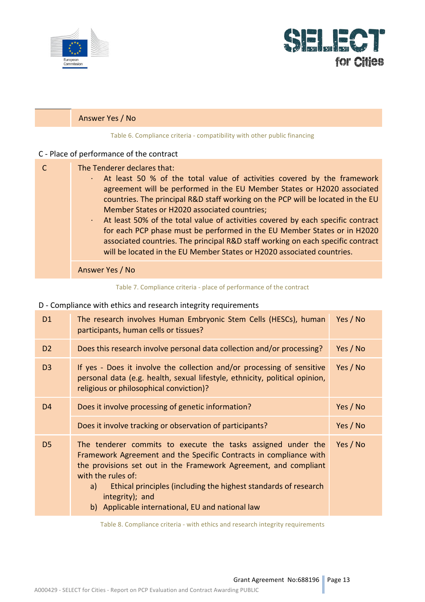



### Answer Yes / No

Table 6. Compliance criteria - compatibility with other public financing

### C - Place of performance of the contract

| The Tenderer declares that:                                                                    |
|------------------------------------------------------------------------------------------------|
| At least 50 % of the total value of activities covered by the framework                        |
| agreement will be performed in the EU Member States or H2020 associated                        |
| countries. The principal R&D staff working on the PCP will be located in the EU                |
| Member States or H2020 associated countries;                                                   |
| At least 50% of the total value of activities covered by each specific contract<br>$\bullet$ . |
| for each PCP phase must be performed in the EU Member States or in H2020                       |
| associated countries. The principal R&D staff working on each specific contract                |
| will be located in the EU Member States or H2020 associated countries.                         |
|                                                                                                |
| Answer Yes / No                                                                                |

#### Table 7. Compliance criteria - place of performance of the contract

#### D - Compliance with ethics and research integrity requirements

| D <sub>1</sub> | The research involves Human Embryonic Stem Cells (HESCs), human<br>participants, human cells or tissues?                                                                                                                                                                                                                                                                    | Yes / No |
|----------------|-----------------------------------------------------------------------------------------------------------------------------------------------------------------------------------------------------------------------------------------------------------------------------------------------------------------------------------------------------------------------------|----------|
| D <sub>2</sub> | Does this research involve personal data collection and/or processing?                                                                                                                                                                                                                                                                                                      | Yes / No |
| D <sub>3</sub> | If yes - Does it involve the collection and/or processing of sensitive<br>personal data (e.g. health, sexual lifestyle, ethnicity, political opinion,<br>religious or philosophical conviction)?                                                                                                                                                                            | Yes / No |
| D <sub>4</sub> | Does it involve processing of genetic information?                                                                                                                                                                                                                                                                                                                          | Yes / No |
|                | Does it involve tracking or observation of participants?                                                                                                                                                                                                                                                                                                                    | Yes / No |
| D <sub>5</sub> | The tenderer commits to execute the tasks assigned under the<br>Framework Agreement and the Specific Contracts in compliance with<br>the provisions set out in the Framework Agreement, and compliant<br>with the rules of:<br>Ethical principles (including the highest standards of research<br>a)<br>integrity); and<br>b) Applicable international, EU and national law | Yes / No |

Table 8. Compliance criteria - with ethics and research integrity requirements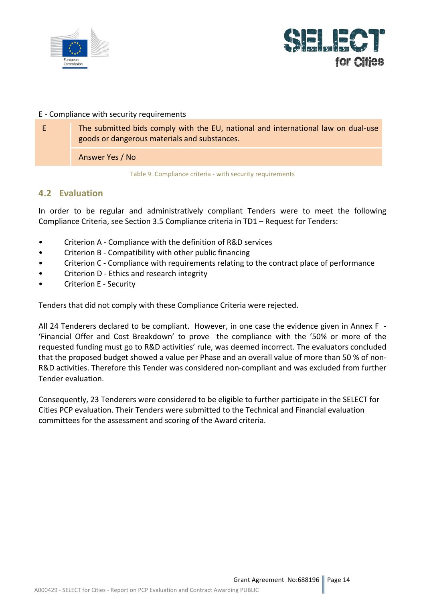



#### E - Compliance with security requirements

E The submitted bids comply with the EU, national and international law on dual-use goods or dangerous materials and substances.

Answer Yes / No

Table 9. Compliance criteria - with security requirements

### **4.2 Evaluation**

In order to be regular and administratively compliant Tenders were to meet the following Compliance Criteria, see Section 3.5 Compliance criteria in TD1 - Request for Tenders:

- Criterion A Compliance with the definition of R&D services
- Criterion B Compatibility with other public financing
- Criterion C Compliance with requirements relating to the contract place of performance
- Criterion D Ethics and research integrity
- Criterion E Security

Tenders that did not comply with these Compliance Criteria were rejected.

All 24 Tenderers declared to be compliant. However, in one case the evidence given in Annex F -'Financial Offer and Cost Breakdown' to prove the compliance with the '50% or more of the requested funding must go to R&D activities' rule, was deemed incorrect. The evaluators concluded that the proposed budget showed a value per Phase and an overall value of more than 50 % of non-R&D activities. Therefore this Tender was considered non-compliant and was excluded from further Tender evaluation.

Consequently, 23 Tenderers were considered to be eligible to further participate in the SELECT for Cities PCP evaluation. Their Tenders were submitted to the Technical and Financial evaluation committees for the assessment and scoring of the Award criteria.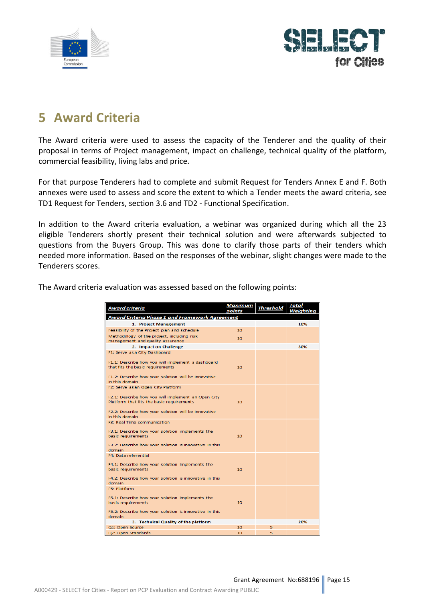



# **5 Award Criteria**

The Award criteria were used to assess the capacity of the Tenderer and the quality of their proposal in terms of Project management, impact on challenge, technical quality of the platform, commercial feasibility, living labs and price.

For that purpose Tenderers had to complete and submit Request for Tenders Annex E and F. Both annexes were used to assess and score the extent to which a Tender meets the award criteria, see TD1 Request for Tenders, section 3.6 and TD2 - Functional Specification.

In addition to the Award criteria evaluation, a webinar was organized during which all the 23 eligible Tenderers shortly present their technical solution and were afterwards subjected to questions from the Buyers Group. This was done to clarify those parts of their tenders which needed more information. Based on the responses of the webinar, slight changes were made to the Tenderers scores.

| The Award criteria evaluation was assessed based on the following points: |  |  |
|---------------------------------------------------------------------------|--|--|
|---------------------------------------------------------------------------|--|--|

| Award criteria                                                                                                                                                                  | <b>Maximum</b>  | <b>Threshold</b> | Total     |
|---------------------------------------------------------------------------------------------------------------------------------------------------------------------------------|-----------------|------------------|-----------|
|                                                                                                                                                                                 | points          |                  | Weighting |
| <b>Award Criteria Phase 1 and Framework Agreement</b>                                                                                                                           |                 |                  |           |
| 1. Project Management                                                                                                                                                           |                 |                  | 10%       |
| Feasibility of the Project plan and schedule                                                                                                                                    | 10              |                  |           |
| Methodology of the project, including risk                                                                                                                                      | 10 <sup>1</sup> |                  |           |
| management and quality assurance                                                                                                                                                |                 |                  |           |
| 2. Impact on Challenge                                                                                                                                                          |                 |                  | 30%       |
| F1: Serve as a City Dashboard                                                                                                                                                   |                 |                  |           |
| F1.1: Describe how you will implement a dashboard<br>that fits the basic requirements                                                                                           | 10              |                  |           |
| F1.2: Describe how your solution will be innovative<br>in this domain                                                                                                           |                 |                  |           |
| F2: Serve as an Open City Platform                                                                                                                                              |                 |                  |           |
| F2.1: Describe how you will implement an Open City<br>Platform that fits the basic requirements<br>F2.2: Describe how your solution will be innovative                          | 10              |                  |           |
| in this domain                                                                                                                                                                  |                 |                  |           |
| <b>E3: Real Time communication</b><br>F3.1: Describe how your solution implements the<br>basic requirements<br>F3.2: Describe how your solution is innovative in this<br>domain | 10              |                  |           |
| <b>E4: Data referential</b>                                                                                                                                                     |                 |                  |           |
| F4.1: Describe how your solution implements the<br>basic requirements<br>F4.2: Describe how your solution is innovative in this                                                 | 10              |                  |           |
| domain                                                                                                                                                                          |                 |                  |           |
| <b>F5: Platform</b>                                                                                                                                                             |                 |                  |           |
| F5.1: Describe how your solution implements the<br>basic requirements<br>F5.2: Describe how your solution is innovative in this                                                 | 10              |                  |           |
| domain                                                                                                                                                                          |                 |                  |           |
| 3. Technical Quality of the platform                                                                                                                                            |                 |                  | 20%       |
| Q1: Open Source                                                                                                                                                                 | 10              | 5                |           |
| Q2: Open Standards                                                                                                                                                              | 10              | 5.               |           |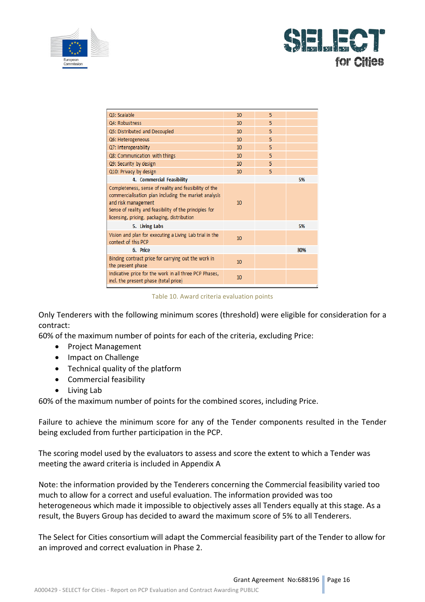



| Q3: Scalable                                                                                                                                                                                                                                  | 10 | 5  |     |
|-----------------------------------------------------------------------------------------------------------------------------------------------------------------------------------------------------------------------------------------------|----|----|-----|
| Q4: Robustness                                                                                                                                                                                                                                | 10 | 5  |     |
| Q5: Distributed and Decoupled                                                                                                                                                                                                                 | 10 | 5. |     |
| Q6: Heterogeneous                                                                                                                                                                                                                             | 10 | 5  |     |
| Q7: Interoperability                                                                                                                                                                                                                          | 10 | 5  |     |
| Q8: Communication with things                                                                                                                                                                                                                 | 10 | 5  |     |
| Q9: Security by design                                                                                                                                                                                                                        | 10 | 5  |     |
| Q10: Privacy by design                                                                                                                                                                                                                        | 10 | 5  |     |
| 4. Commercial Feasibility                                                                                                                                                                                                                     |    |    | 5%  |
| Completeness, sense of reality and feasibility of the<br>commercialisation plan including the market analysis<br>and risk management<br>Sense of reality and feasibility of the principles for<br>licensing, pricing, packaging, distribution | 10 |    |     |
| 5. Living Labs                                                                                                                                                                                                                                |    |    | 5%  |
| Vision and plan for executing a Living Lab trial in the<br>context of this PCP                                                                                                                                                                | 10 |    |     |
| 6. Price                                                                                                                                                                                                                                      |    |    | 30% |
| Binding contract price for carrying out the work in<br>the present phase                                                                                                                                                                      | 10 |    |     |
| Indicative price for the work in all three PCP Phases,<br>incl. the present phase (total price)                                                                                                                                               | 10 |    |     |
|                                                                                                                                                                                                                                               |    |    |     |

Table 10. Award criteria evaluation points

Only Tenderers with the following minimum scores (threshold) were eligible for consideration for a contract:

60% of the maximum number of points for each of the criteria, excluding Price:

- Project Management
- Impact on Challenge
- Technical quality of the platform
- Commercial feasibility
- $\bullet$  Living Lab

60% of the maximum number of points for the combined scores, including Price.

Failure to achieve the minimum score for any of the Tender components resulted in the Tender being excluded from further participation in the PCP.

The scoring model used by the evaluators to assess and score the extent to which a Tender was meeting the award criteria is included in Appendix A

Note: the information provided by the Tenderers concerning the Commercial feasibility varied too much to allow for a correct and useful evaluation. The information provided was too heterogeneous which made it impossible to objectively asses all Tenders equally at this stage. As a result, the Buyers Group has decided to award the maximum score of 5% to all Tenderers.

The Select for Cities consortium will adapt the Commercial feasibility part of the Tender to allow for an improved and correct evaluation in Phase 2.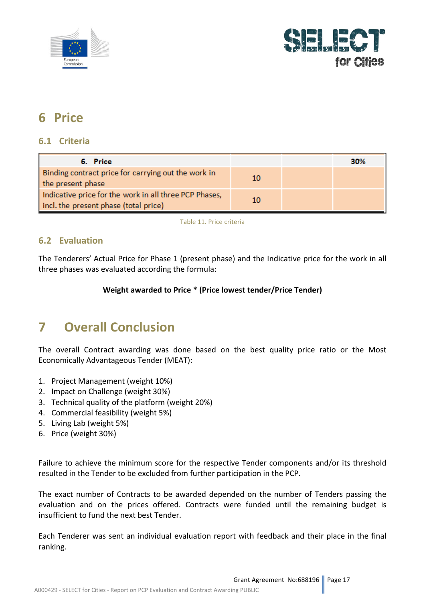



# **6 Price**

### **6.1 Criteria**

| 6. Price                                                                                        |    | 30% |
|-------------------------------------------------------------------------------------------------|----|-----|
| Binding contract price for carrying out the work in<br>the present phase                        | 10 |     |
| Indicative price for the work in all three PCP Phases,<br>incl. the present phase (total price) | 10 |     |

Table 11. Price criteria

### **6.2 Evaluation**

The Tenderers' Actual Price for Phase 1 (present phase) and the Indicative price for the work in all three phases was evaluated according the formula:

### **Weight awarded to Price \* (Price lowest tender/Price Tender)**

# **7 Overall Conclusion**

The overall Contract awarding was done based on the best quality price ratio or the Most Economically Advantageous Tender (MEAT):

- 1. Project Management (weight 10%)
- 2. Impact on Challenge (weight 30%)
- 3. Technical quality of the platform (weight 20%)
- 4. Commercial feasibility (weight 5%)
- 5. Living Lab (weight 5%)
- 6. Price (weight 30%)

Failure to achieve the minimum score for the respective Tender components and/or its threshold resulted in the Tender to be excluded from further participation in the PCP.

The exact number of Contracts to be awarded depended on the number of Tenders passing the evaluation and on the prices offered. Contracts were funded until the remaining budget is insufficient to fund the next best Tender.

Each Tenderer was sent an individual evaluation report with feedback and their place in the final ranking.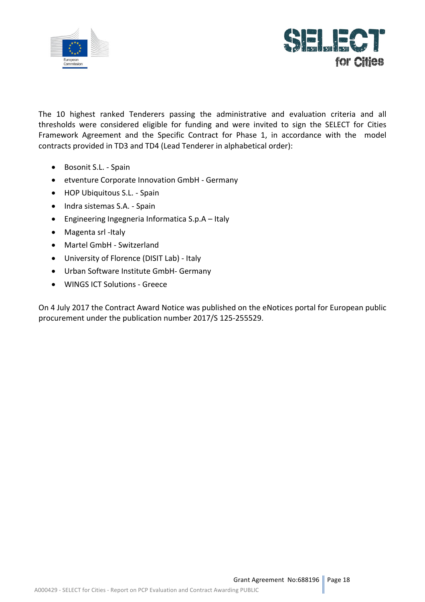



The 10 highest ranked Tenderers passing the administrative and evaluation criteria and all thresholds were considered eligible for funding and were invited to sign the SELECT for Cities Framework Agreement and the Specific Contract for Phase 1, in accordance with the model contracts provided in TD3 and TD4 (Lead Tenderer in alphabetical order):

- Bosonit S.L. Spain
- etventure Corporate Innovation GmbH Germany
- HOP Ubiquitous S.L. Spain
- Indra sistemas S.A. Spain
- Engineering Ingegneria Informatica  $S.p.A Italy$
- Magenta srl -Italy
- Martel GmbH Switzerland
- University of Florence (DISIT Lab) Italy
- Urban Software Institute GmbH- Germany
- WINGS ICT Solutions Greece

On 4 July 2017 the Contract Award Notice was published on the eNotices portal for European public procurement under the publication number 2017/S 125-255529.